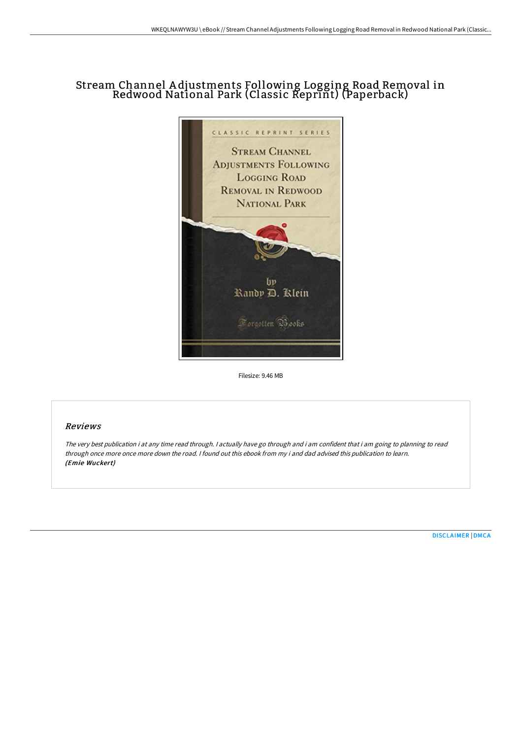## Stream Channel A djustments Following Logging Road Removal in Redwood National Park (Classic Reprint) (Paperback)



Filesize: 9.46 MB

## Reviews

The very best publication i at any time read through. <sup>I</sup> actually have go through and i am confident that i am going to planning to read through once more once more down the road. <sup>I</sup> found out this ebook from my i and dad advised this publication to learn. (Emie Wuckert)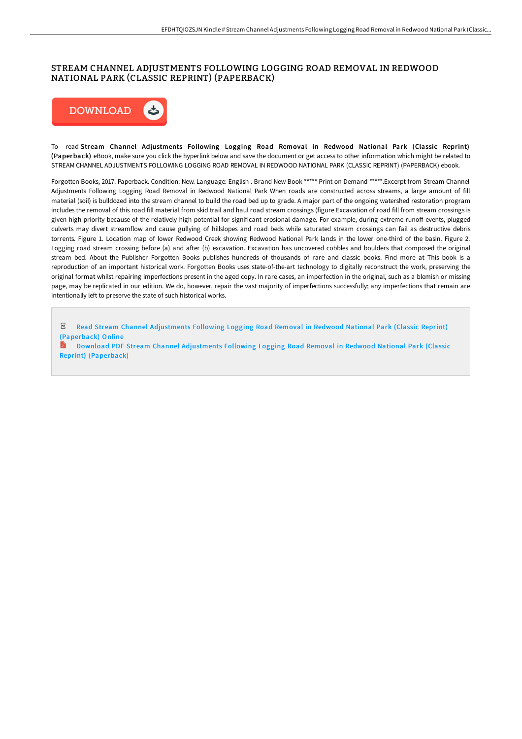## STREAM CHANNEL ADJUSTMENTS FOLLOWING LOGGING ROAD REMOVAL IN REDWOOD NATIONAL PARK (CLASSIC REPRINT) (PAPERBACK)



To read Stream Channel Adjustments Following Logging Road Removal in Redwood National Park (Classic Reprint) (Paperback) eBook, make sure you click the hyperlink below and save the document or get access to other information which might be related to STREAM CHANNEL ADJUSTMENTS FOLLOWING LOGGING ROAD REMOVAL IN REDWOOD NATIONAL PARK (CLASSIC REPRINT) (PAPERBACK) ebook.

Forgotten Books, 2017. Paperback. Condition: New. Language: English . Brand New Book \*\*\*\*\* Print on Demand \*\*\*\*\*.Excerpt from Stream Channel Adjustments Following Logging Road Removal in Redwood National Park When roads are constructed across streams, a large amount of fill material (soil) is bulldozed into the stream channel to build the road bed up to grade. A major part of the ongoing watershed restoration program includes the removal of this road fill material from skid trail and haul road stream crossings (figure Excavation of road fill from stream crossings is given high priority because of the relatively high potential for significant erosional damage. For example, during extreme runoff events, plugged culverts may divert streamflow and cause gullying of hillslopes and road beds while saturated stream crossings can fail as destructive debris torrents. Figure 1. Location map of lower Redwood Creek showing Redwood National Park lands in the lower one-third of the basin. Figure 2. Logging road stream crossing before (a) and after (b) excavation. Excavation has uncovered cobbles and boulders that composed the original stream bed. About the Publisher Forgotten Books publishes hundreds of thousands of rare and classic books. Find more at This book is a reproduction of an important historical work. Forgotten Books uses state-of-the-art technology to digitally reconstruct the work, preserving the original format whilst repairing imperfections present in the aged copy. In rare cases, an imperfection in the original, such as a blemish or missing page, may be replicated in our edition. We do, however, repair the vast majority of imperfections successfully; any imperfections that remain are intentionally left to preserve the state of such historical works.

 $_{\rm PDF}$ Read Stream Channel [Adjustments](http://www.bookdirs.com/stream-channel-adjustments-following-logging-roa.html) Following Logging Road Removal in Redwood National Park (Classic Reprint) (Paperback) Online

Download PDF Stream Channel [Adjustments](http://www.bookdirs.com/stream-channel-adjustments-following-logging-roa.html) Following Logging Road Removal in Redwood National Park (Classic Reprint) (Paperback)